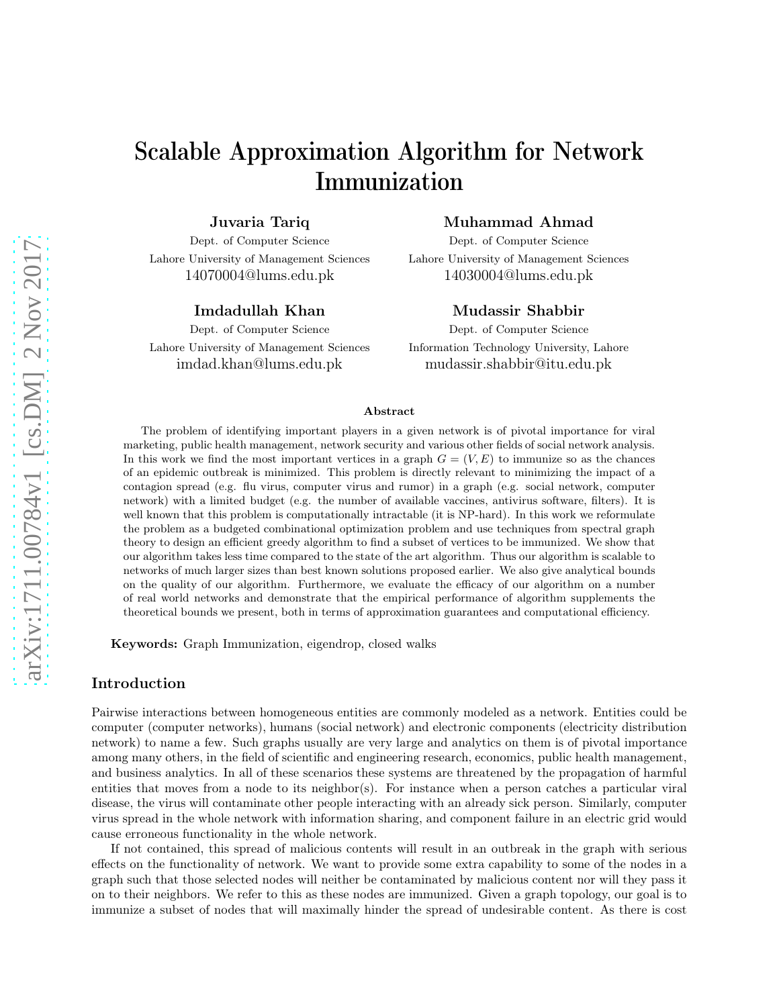# Scalable Approximation Algorithm for Network Immunization

Juvaria Tariq

Dept. of Computer Science Lahore University of Management Sciences 14070004@lums.edu.pk

## Imdadullah Khan

Dept. of Computer Science Lahore University of Management Sciences imdad.khan@lums.edu.pk

#### Muhammad Ahmad

Dept. of Computer Science Lahore University of Management Sciences 14030004@lums.edu.pk

## Mudassir Shabbir

Dept. of Computer Science Information Technology University, Lahore mudassir.shabbir@itu.edu.pk

#### Abstract

The problem of identifying important players in a given network is of pivotal importance for viral marketing, public health management, network security and various other fields of social network analysis. In this work we find the most important vertices in a graph  $G = (V, E)$  to immunize so as the chances of an epidemic outbreak is minimized. This problem is directly relevant to minimizing the impact of a contagion spread (e.g. flu virus, computer virus and rumor) in a graph (e.g. social network, computer network) with a limited budget (e.g. the number of available vaccines, antivirus software, filters). It is well known that this problem is computationally intractable (it is NP-hard). In this work we reformulate the problem as a budgeted combinational optimization problem and use techniques from spectral graph theory to design an efficient greedy algorithm to find a subset of vertices to be immunized. We show that our algorithm takes less time compared to the state of the art algorithm. Thus our algorithm is scalable to networks of much larger sizes than best known solutions proposed earlier. We also give analytical bounds on the quality of our algorithm. Furthermore, we evaluate the efficacy of our algorithm on a number of real world networks and demonstrate that the empirical performance of algorithm supplements the theoretical bounds we present, both in terms of approximation guarantees and computational efficiency.

Keywords: Graph Immunization, eigendrop, closed walks

### Introduction

Pairwise interactions between homogeneous entities are commonly modeled as a network. Entities could be computer (computer networks), humans (social network) and electronic components (electricity distribution network) to name a few. Such graphs usually are very large and analytics on them is of pivotal importance among many others, in the field of scientific and engineering research, economics, public health management, and business analytics. In all of these scenarios these systems are threatened by the propagation of harmful entities that moves from a node to its neighbor(s). For instance when a person catches a particular viral disease, the virus will contaminate other people interacting with an already sick person. Similarly, computer virus spread in the whole network with information sharing, and component failure in an electric grid would cause erroneous functionality in the whole network.

If not contained, this spread of malicious contents will result in an outbreak in the graph with serious effects on the functionality of network. We want to provide some extra capability to some of the nodes in a graph such that those selected nodes will neither be contaminated by malicious content nor will they pass it on to their neighbors. We refer to this as these nodes are immunized. Given a graph topology, our goal is to immunize a subset of nodes that will maximally hinder the spread of undesirable content. As there is cost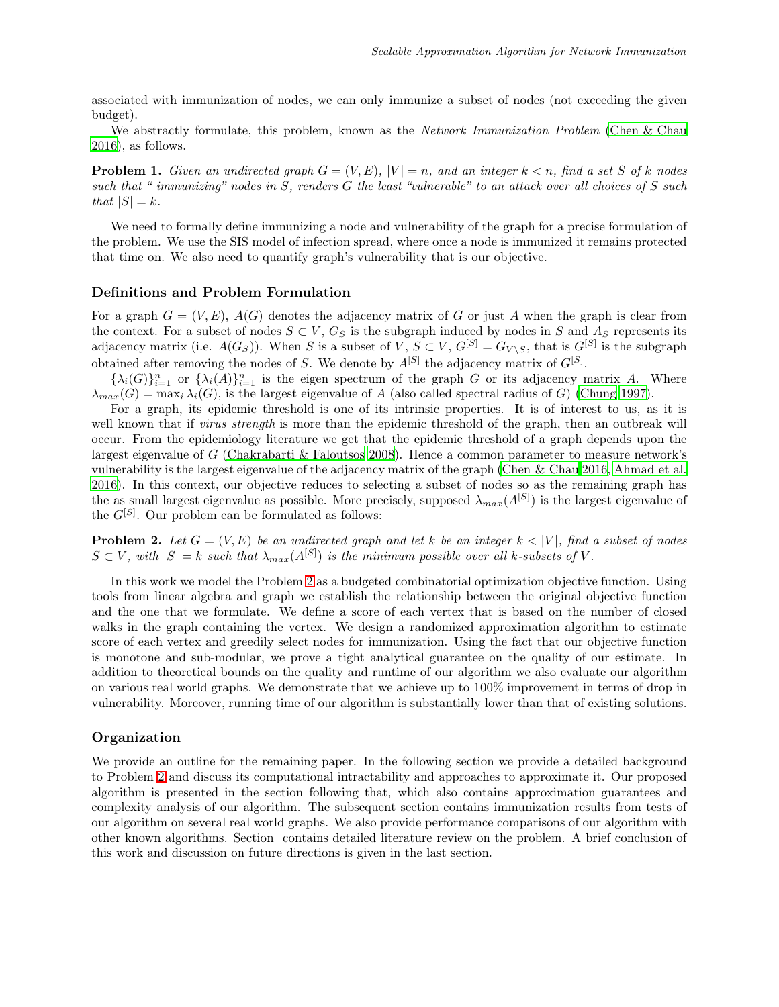associated with immunization of nodes, we can only immunize a subset of nodes (not exceeding the given budget).

We abstractly formulate, this problem, known as the *Network Immunization Problem* [\(Chen & Chau](#page-10-0) [2016\)](#page-10-0), as follows.

**Problem 1.** Given an undirected graph  $G = (V, E)$ ,  $|V| = n$ , and an integer  $k < n$ , find a set S of k nodes such that " immunizing" nodes in S, renders G the least "vulnerable" to an attack over all choices of S such that  $|S| = k$ .

We need to formally define immunizing a node and vulnerability of the graph for a precise formulation of the problem. We use the SIS model of infection spread, where once a node is immunized it remains protected that time on. We also need to quantify graph's vulnerability that is our objective.

#### Definitions and Problem Formulation

For a graph  $G = (V, E)$ ,  $A(G)$  denotes the adjacency matrix of G or just A when the graph is clear from the context. For a subset of nodes  $S \subset V$ ,  $G_S$  is the subgraph induced by nodes in S and  $A_S$  represents its adjacency matrix (i.e.  $A(G_S)$ ). When S is a subset of V,  $S \subset V$ ,  $G^{[S]} = G_{V \setminus S}$ , that is  $G^{[S]}$  is the subgraph obtained after removing the nodes of S. We denote by  $A^{[S]}$  the adjacency matrix of  $G^{[S]}$ .

 ${\{\lambda_i(G)\}}_{i=1}^n$  or  ${\{\lambda_i(A)\}}_{i=1}^n$  is the eigen spectrum of the graph G or its adjacency matrix A. Where  $\lambda_{max}(G) = \max_i \lambda_i(G)$ , is the largest eigenvalue of A (also called spectral radius of G) [\(Chung 1997\)](#page-10-1).

For a graph, its epidemic threshold is one of its intrinsic properties. It is of interest to us, as it is well known that if *virus strength* is more than the epidemic threshold of the graph, then an outbreak will occur. From the epidemiology literature we get that the epidemic threshold of a graph depends upon the largest eigenvalue of G [\(Chakrabarti & Faloutsos 2008\)](#page-10-2). Hence a common parameter to measure network's vulnerability is the largest eigenvalue of the adjacency matrix of the graph [\(Chen & Chau 2016,](#page-10-0) [Ahmad et al.](#page-10-3) [2016\)](#page-10-3). In this context, our objective reduces to selecting a subset of nodes so as the remaining graph has the as small largest eigenvalue as possible. More precisely, supposed  $\lambda_{max}(A^{[S]})$  is the largest eigenvalue of the  $G^{[S]}$ . Our problem can be formulated as follows:

<span id="page-1-0"></span>**Problem 2.** Let  $G = (V, E)$  be an undirected graph and let k be an integer  $k \leq |V|$ , find a subset of nodes  $S \subset V$ , with  $|S| = k$  such that  $\lambda_{max}(A^{[S]})$  is the minimum possible over all k-subsets of V.

In this work we model the Problem [2](#page-1-0) as a budgeted combinatorial optimization objective function. Using tools from linear algebra and graph we establish the relationship between the original objective function and the one that we formulate. We define a score of each vertex that is based on the number of closed walks in the graph containing the vertex. We design a randomized approximation algorithm to estimate score of each vertex and greedily select nodes for immunization. Using the fact that our objective function is monotone and sub-modular, we prove a tight analytical guarantee on the quality of our estimate. In addition to theoretical bounds on the quality and runtime of our algorithm we also evaluate our algorithm on various real world graphs. We demonstrate that we achieve up to 100% improvement in terms of drop in vulnerability. Moreover, running time of our algorithm is substantially lower than that of existing solutions.

#### Organization

We provide an outline for the remaining paper. In the following section we provide a detailed background to Problem [2](#page-1-0) and discuss its computational intractability and approaches to approximate it. Our proposed algorithm is presented in the section following that, which also contains approximation guarantees and complexity analysis of our algorithm. The subsequent section contains immunization results from tests of our algorithm on several real world graphs. We also provide performance comparisons of our algorithm with other known algorithms. Section contains detailed literature review on the problem. A brief conclusion of this work and discussion on future directions is given in the last section.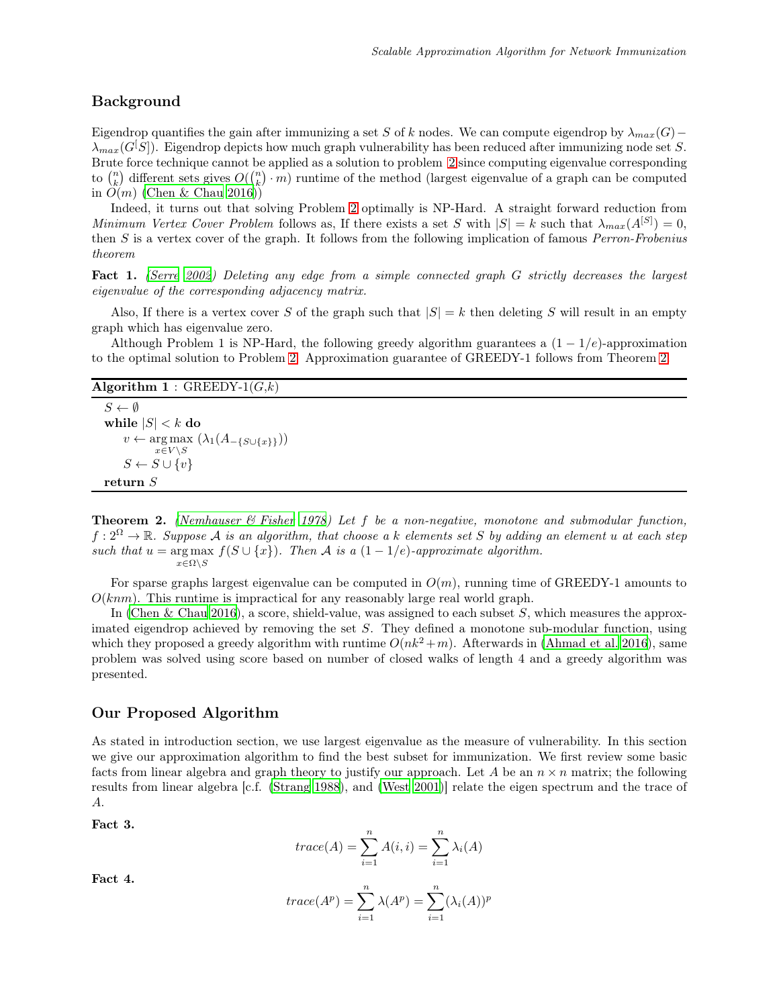## Background

Eigendrop quantifies the gain after immunizing a set S of k nodes. We can compute eigendrop by  $\lambda_{max}(G)$ −  $\lambda_{max}(G|S|)$ . Eigendrop depicts how much graph vulnerability has been reduced after immunizing node set S. Brute force technique cannot be applied as a solution to problem [2](#page-1-0) since computing eigenvalue corresponding to  $\binom{n}{k}$  different sets gives  $O(\binom{n}{k} \cdot m)$  runtime of the method (largest eigenvalue of a graph can be computed in  $O(m)$  [\(Chen & Chau 2016\)](#page-10-0))

Indeed, it turns out that solving Problem [2](#page-1-0) optimally is NP-Hard. A straight forward reduction from Minimum Vertex Cover Problem follows as, If there exists a set S with  $|S| = k$  such that  $\lambda_{max}(A^{[S]}) = 0$ , then S is a vertex cover of the graph. It follows from the following implication of famous Perron-Frobenius theorem

Fact 1. [\(Serre 2002\)](#page-11-0) Deleting any edge from a simple connected graph G strictly decreases the largest eigenvalue of the corresponding adjacency matrix.

Also, If there is a vertex cover S of the graph such that  $|S| = k$  then deleting S will result in an empty graph which has eigenvalue zero.

Although Problem 1 is NP-Hard, the following greedy algorithm guarantees a  $(1 - 1/e)$ -approximation to the optimal solution to Problem [2.](#page-1-0) Approximation guarantee of GREEDY-1 follows from Theorem [2.](#page-2-0)

```
Algorithm 1: GREEDY-1(G,k)
```

```
S \leftarrow \emptysetwhile |S| < k do
      v \leftarrow \arg \max (\lambda_1(A_{-\{S\cup\{x\}\}}))x \in V \backslash SS \leftarrow S \cup \{v\}return S
```
<span id="page-2-0"></span>**Theorem 2.** (Nemhauser  $\mathcal{B}$  Fisher 1978) Let f be a non-negative, monotone and submodular function,  $f: 2^{\Omega} \to \mathbb{R}$ . Suppose A is an algorithm, that choose a k elements set S by adding an element u at each step such that  $u = \arg \max f(S \cup \{x\})$ . Then A is a  $(1 - 1/e)$ -approximate algorithm.  $x \in \Omega \backslash S$ 

For sparse graphs largest eigenvalue can be computed in  $O(m)$ , running time of GREEDY-1 amounts to  $O(knm)$ . This runtime is impractical for any reasonably large real world graph.

In [\(Chen & Chau 2016\)](#page-10-0), a score, shield-value, was assigned to each subset  $S$ , which measures the approximated eigendrop achieved by removing the set  $S$ . They defined a monotone sub-modular function, using which they proposed a greedy algorithm with runtime  $O(nk^2 + m)$ . Afterwards in [\(Ahmad et al. 2016\)](#page-10-3), same problem was solved using score based on number of closed walks of length 4 and a greedy algorithm was presented.

## Our Proposed Algorithm

As stated in introduction section, we use largest eigenvalue as the measure of vulnerability. In this section we give our approximation algorithm to find the best subset for immunization. We first review some basic facts from linear algebra and graph theory to justify our approach. Let A be an  $n \times n$  matrix; the following results from linear algebra [c.f. [\(Strang 1988](#page-11-2)), and [\(West 2001\)](#page-11-3)] relate the eigen spectrum and the trace of A.

Fact 3.

$$
trace(A) = \sum_{i=1}^{n} A(i, i) = \sum_{i=1}^{n} \lambda_i(A)
$$

<span id="page-2-1"></span>Fact 4.

$$
trace(A^{p}) = \sum_{i=1}^{n} \lambda(A^{p}) = \sum_{i=1}^{n} (\lambda_{i}(A))^{p}
$$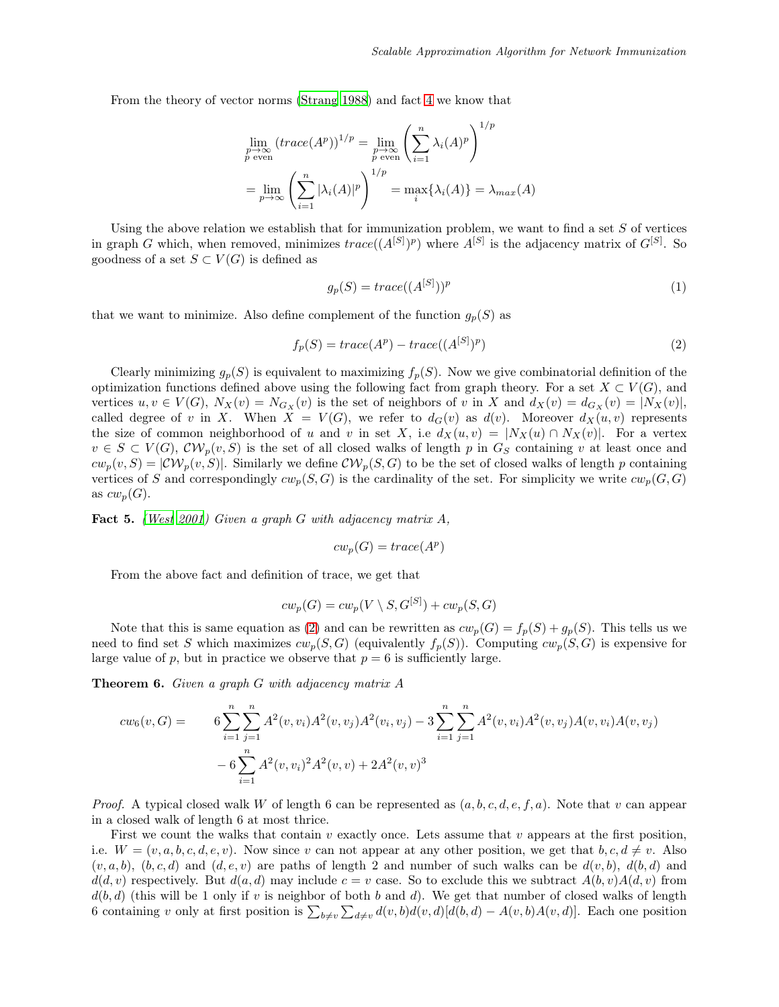From the theory of vector norms [\(Strang 1988\)](#page-11-2) and fact [4](#page-2-1) we know that

$$
\lim_{\substack{p \to \infty \\ p \text{ even}}} (trace(A^p))^{1/p} = \lim_{\substack{p \to \infty \\ p \text{ even}}} \left( \sum_{i=1}^n \lambda_i(A)^p \right)^{1/p}
$$

$$
= \lim_{\substack{p \to \infty \\ p \to \infty}} \left( \sum_{i=1}^n |\lambda_i(A)|^p \right)^{1/p} = \max_i \{ \lambda_i(A) \} = \lambda_{max}(A)
$$

Using the above relation we establish that for immunization problem, we want to find a set  $S$  of vertices in graph G which, when removed, minimizes  $trace((A^{[S]})^p)$  where  $A^{[S]}$  is the adjacency matrix of  $G^{[S]}$ . So goodness of a set  $S \subset V(G)$  is defined as

$$
g_p(S) = trace((A^{[S]})^p \tag{1}
$$

that we want to minimize. Also define complement of the function  $g_p(S)$  as

<span id="page-3-0"></span>
$$
f_p(S) = trace(A^p) - trace((A^{[S]})^p)
$$
\n
$$
(2)
$$

Clearly minimizing  $g_p(S)$  is equivalent to maximizing  $f_p(S)$ . Now we give combinatorial definition of the optimization functions defined above using the following fact from graph theory. For a set  $X \subset V(G)$ , and vertices  $u, v \in V(G)$ ,  $N_X(v) = N_{G_X}(v)$  is the set of neighbors of v in X and  $d_X(v) = d_{G_X}(v) = |N_X(v)|$ , called degree of v in X. When  $X = V(G)$ , we refer to  $d_G(v)$  as  $d(v)$ . Moreover  $d_X(u, v)$  represents the size of common neighborhood of u and v in set X, i.e  $d_X(u, v) = |N_X(u) \cap N_X(v)|$ . For a vertex  $v \in S \subset V(G)$ ,  $\mathcal{CV}_p(v, S)$  is the set of all closed walks of length p in  $G_S$  containing v at least once and  $cw_p(v, S) = |\mathcal{CW}_p(v, S)|$ . Similarly we define  $\mathcal{CW}_p(S, G)$  to be the set of closed walks of length p containing vertices of S and correspondingly  $cw_p(S, G)$  is the cardinality of the set. For simplicity we write  $cw_p(G, G)$ as  $cw_p(G)$ .

Fact 5. [\(West 2001](#page-11-3)) Given a graph G with adjacency matrix A,

$$
cw_p(G) = trace(A^p)
$$

From the above fact and definition of trace, we get that

$$
cw_p(G) = cw_p(V \setminus S, G^{[S]}) + cw_p(S, G)
$$

Note that this is same equation as [\(2\)](#page-3-0) and can be rewritten as  $cw_p(G) = f_p(S) + g_p(S)$ . This tells us we need to find set S which maximizes  $cw_p(S, G)$  (equivalently  $f_p(S)$ ). Computing  $cw_p(S, G)$  is expensive for large value of p, but in practice we observe that  $p = 6$  is sufficiently large.

**Theorem 6.** Given a graph  $G$  with adjacency matrix  $A$ 

$$
cw_6(v, G) = \qquad 6 \sum_{i=1}^n \sum_{j=1}^n A^2(v, v_i) A^2(v, v_j) A^2(v_i, v_j) - 3 \sum_{i=1}^n \sum_{j=1}^n A^2(v, v_i) A^2(v, v_j) A(v, v_i) A(v, v_j)
$$

$$
- 6 \sum_{i=1}^n A^2(v, v_i)^2 A^2(v, v) + 2A^2(v, v)^3
$$

*Proof.* A typical closed walk W of length 6 can be represented as  $(a, b, c, d, e, f, a)$ . Note that v can appear in a closed walk of length 6 at most thrice.

First we count the walks that contain v exactly once. Lets assume that v appears at the first position, i.e.  $W = (v, a, b, c, d, e, v)$ . Now since v can not appear at any other position, we get that  $b, c, d \neq v$ . Also  $(v, a, b), (b, c, d)$  and  $(d, e, v)$  are paths of length 2 and number of such walks can be  $d(v, b), d(b, d)$  and  $d(d, v)$  respectively. But  $d(a, d)$  may include  $c = v$  case. So to exclude this we subtract  $A(b, v)A(d, v)$  from  $d(b, d)$  (this will be 1 only if v is neighbor of both b and d). We get that number of closed walks of length 6 containing v only at first position is  $\sum_{b\neq v}\sum_{d\neq v}d(v,b)d(v,d)[d(b,d)-A(v,b)A(v,d)]$ . Each one position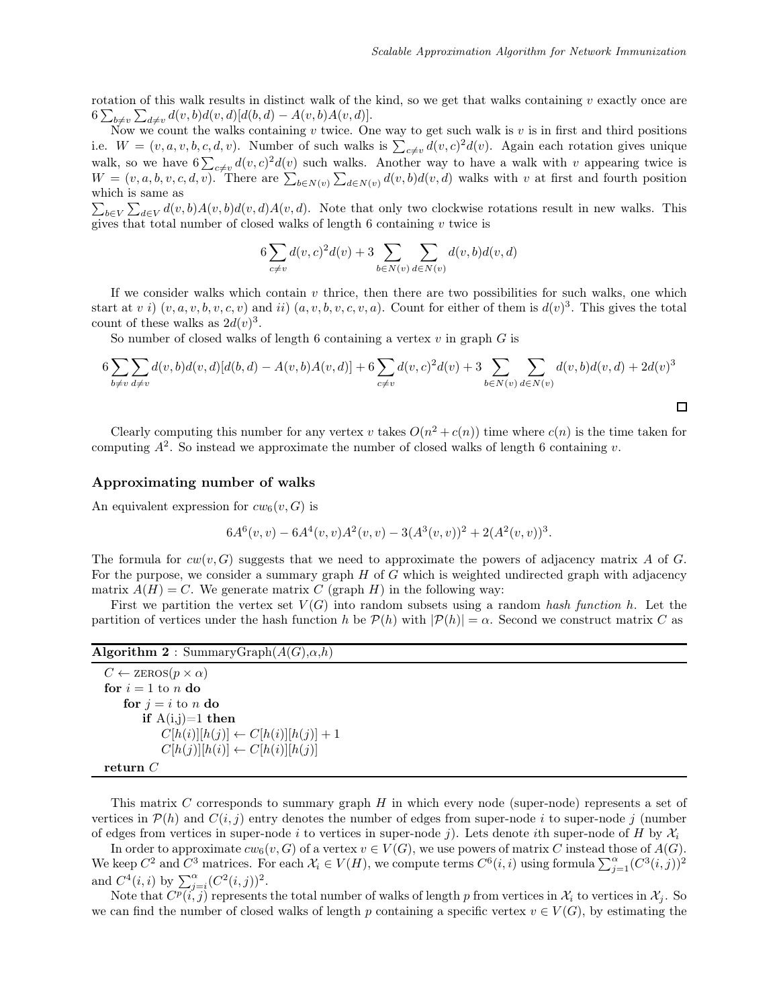rotation of this walk results in distinct walk of the kind, so we get that walks containing  $v$  exactly once are  $6\sum_{b\neq v}\sum_{d\neq v}d(v,b)d(v,d)[d(b,d)-A(v,b)A(v,d)].$ 

Now we count the walks containing  $v$  twice. One way to get such walk is  $v$  is in first and third positions i.e.  $W = (v, a, v, b, c, d, v)$ . Number of such walks is  $\sum_{c \neq v} d(v, c)^2 d(v)$ . Again each rotation gives unique walk, so we have  $6\sum_{c\neq v}d(v,c)^2d(v)$  such walks. Another way to have a walk with v appearing twice is  $W = (v, a, b, v, c, d, v)$ . There are  $\sum_{b \in N(v)} \sum_{d \in N(v)} d(v, b) d(v, d)$  walks with v at first and fourth position which is same as

 $\sum_{b\in V}\sum_{d\in V}d(v,b)A(v,b)d(v,d)A(v,d)$ . Note that only two clockwise rotations result in new walks. This gives that total number of closed walks of length  $6$  containing  $v$  twice is

$$
6\sum_{c \neq v} d(v, c)^{2} d(v) + 3\sum_{b \in N(v)} \sum_{d \in N(v)} d(v, b) d(v, d)
$$

If we consider walks which contain  $v$  thrice, then there are two possibilities for such walks, one which start at v i)  $(v, a, v, b, v, c, v)$  and ii)  $(a, v, b, v, c, v, a)$ . Count for either of them is  $d(v)^3$ . This gives the total count of these walks as  $2d(v)^3$ .

So number of closed walks of length 6 containing a vertex  $v$  in graph  $G$  is

$$
6\sum_{b \neq v} \sum_{d \neq v} d(v, b) d(v, d)[d(b, d) - A(v, b)A(v, d)] + 6\sum_{c \neq v} d(v, c)^{2} d(v) + 3\sum_{b \in N(v)} \sum_{d \in N(v)} d(v, b) d(v, d) + 2d(v)^{3}
$$

Clearly computing this number for any vertex v takes  $O(n^2 + c(n))$  time where  $c(n)$  is the time taken for computing  $A^2$ . So instead we approximate the number of closed walks of length 6 containing v.

#### Approximating number of walks

An equivalent expression for  $cw_6(v, G)$  is

$$
6A6(v, v) - 6A4(v, v)A2(v, v) - 3(A3(v, v))2 + 2(A2(v, v))3.
$$

The formula for  $cw(v, G)$  suggests that we need to approximate the powers of adjacency matrix A of G. For the purpose, we consider a summary graph  $H$  of  $G$  which is weighted undirected graph with adjacency matrix  $A(H) = C$ . We generate matrix C (graph H) in the following way:

First we partition the vertex set  $V(G)$  into random subsets using a random hash function h. Let the partition of vertices under the hash function h be  $\mathcal{P}(h)$  with  $|\mathcal{P}(h)| = \alpha$ . Second we construct matrix C as

|  |  |  | <b>Algorithm 2</b> : Summary Graph $(A(G), \alpha, h)$ |  |
|--|--|--|--------------------------------------------------------|--|
|--|--|--|--------------------------------------------------------|--|

 $C \leftarrow$  zEROS $(p \times \alpha)$ for  $i = 1$  to n do for  $i = i$  to n do if  $A(i,j)=1$  then  $C[h(i)][h(j)] \leftarrow C[h(i)][h(j)] + 1$  $C[h(j)][h(i)] \leftarrow C[h(i)][h(j)]$ return C

This matrix  $C$  corresponds to summary graph  $H$  in which every node (super-node) represents a set of vertices in  $\mathcal{P}(h)$  and  $C(i, j)$  entry denotes the number of edges from super-node i to super-node j (number of edges from vertices in super-node i to vertices in super-node j). Lets denote ith super-node of H by  $\mathcal{X}_i$ 

In order to approximate  $cw_6(v, G)$  of a vertex  $v \in V(G)$ , we use powers of matrix C instead those of  $A(G)$ . We keep  $C^2$  and  $C^3$  matrices. For each  $\mathcal{X}_i \in V(H)$ , we compute terms  $C^6(i, i)$  using formula  $\sum_{j=1}^{\alpha} (C^3(i, j))^2$ and  $C^4(i, i)$  by  $\sum_{j=i}^{\alpha} (C^2(i, j))^2$ .

Note that  $C^p(i, j)$  represents the total number of walks of length p from vertices in  $\mathcal{X}_i$  to vertices in  $\mathcal{X}_j$ . So we can find the number of closed walks of length p containing a specific vertex  $v \in V(G)$ , by estimating the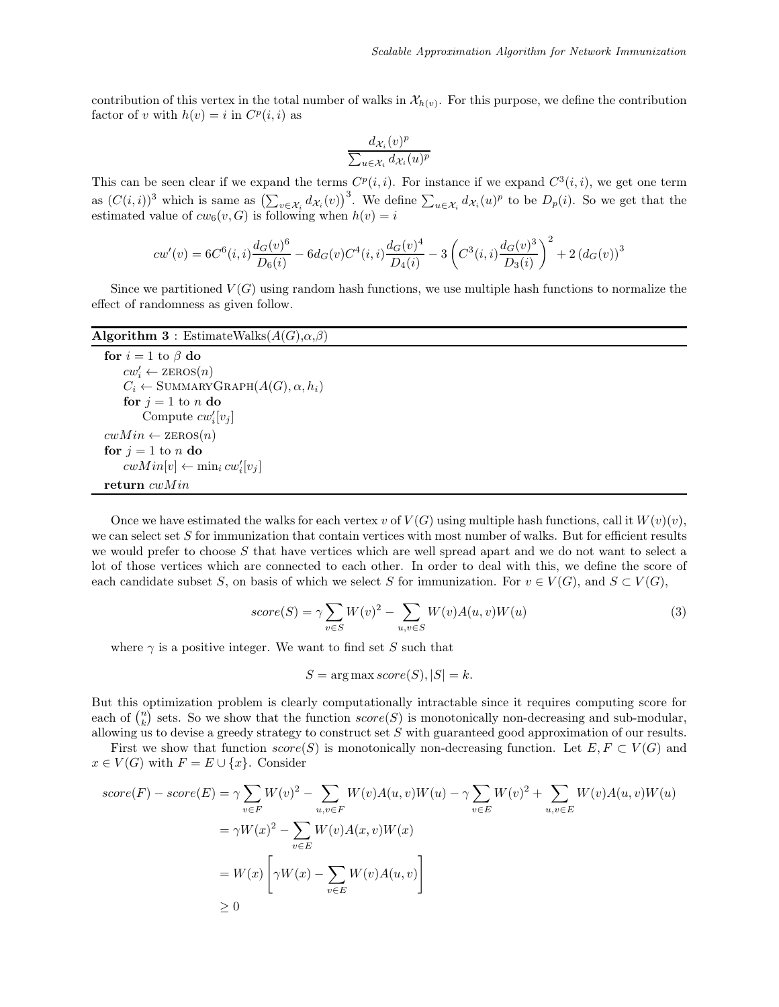contribution of this vertex in the total number of walks in  $\mathcal{X}_{h(v)}$ . For this purpose, we define the contribution factor of v with  $h(v) = i$  in  $C<sup>p</sup>(i, i)$  as

$$
\frac{d_{\mathcal{X}_i}(v)^p}{\sum_{u\in \mathcal{X}_i}d_{\mathcal{X}_i}(u)^p}
$$

This can be seen clear if we expand the terms  $C^p(i,i)$ . For instance if we expand  $C^3(i,i)$ , we get one term as  $(C(i,i))^3$  which is same as  $\left(\sum_{v\in\mathcal{X}_i}d_{\mathcal{X}_i}(v)\right)^3$ . We define  $\sum_{u\in\mathcal{X}_i}d_{\mathcal{X}_i}(u)^p$  to be  $D_p(i)$ . So we get that the estimated value of  $cw_6(v, G)$  is following when  $h(v) = i$ 

$$
cw'(v) = 6C^{6}(i,i)\frac{d_{G}(v)^{6}}{D_{6}(i)} - 6d_{G}(v)C^{4}(i,i)\frac{d_{G}(v)^{4}}{D_{4}(i)} - 3\left(C^{3}(i,i)\frac{d_{G}(v)^{3}}{D_{3}(i)}\right)^{2} + 2(d_{G}(v))^{3}
$$

Since we partitioned  $V(G)$  using random hash functions, we use multiple hash functions to normalize the effect of randomness as given follow.

#### Algorithm 3 : EstimateWalks $(A(G),\alpha,\beta)$

for  $i = 1$  to  $\beta$  do  $cw'_i \leftarrow \text{zeros}(n)$  $C_i \leftarrow \text{SUMMARYGRAPH}(A(G), \alpha, h_i)$ for  $j = 1$  to n do Compute  $cw_i'[v_j]$  $cwMin \leftarrow$  ZEROS $(n)$ for  $j = 1$  to n do  $c w Min[v] \leftarrow \min_i c w'_i[v_j]$ return  $cwMin$ 

Once we have estimated the walks for each vertex v of  $V(G)$  using multiple hash functions, call it  $W(v)(v)$ , we can select set S for immunization that contain vertices with most number of walks. But for efficient results we would prefer to choose S that have vertices which are well spread apart and we do not want to select a lot of those vertices which are connected to each other. In order to deal with this, we define the score of each candidate subset S, on basis of which we select S for immunization. For  $v \in V(G)$ , and  $S \subset V(G)$ ,

$$
score(S) = \gamma \sum_{v \in S} W(v)^2 - \sum_{u,v \in S} W(v)A(u,v)W(u)
$$
\n(3)

where  $\gamma$  is a positive integer. We want to find set S such that

$$
S = \arg\max score(S), |S| = k.
$$

But this optimization problem is clearly computationally intractable since it requires computing score for each of  $\binom{n}{k}$  sets. So we show that the function  $score(S)$  is monotonically non-decreasing and sub-modular, allowing us to devise a greedy strategy to construct set  $S$  with guaranteed good approximation of our results.

First we show that function  $score(S)$  is monotonically non-decreasing function. Let  $E, F \subset V(G)$  and  $x \in V(G)$  with  $F = E \cup \{x\}$ . Consider

$$
score(F) - score(E) = \gamma \sum_{v \in F} W(v)^2 - \sum_{u,v \in F} W(v)A(u,v)W(u) - \gamma \sum_{v \in E} W(v)^2 + \sum_{u,v \in E} W(v)A(u,v)W(u)
$$
  

$$
= \gamma W(x)^2 - \sum_{v \in E} W(v)A(x,v)W(x)
$$
  

$$
= W(x) \left[ \gamma W(x) - \sum_{v \in E} W(v)A(u,v) \right]
$$
  

$$
\geq 0
$$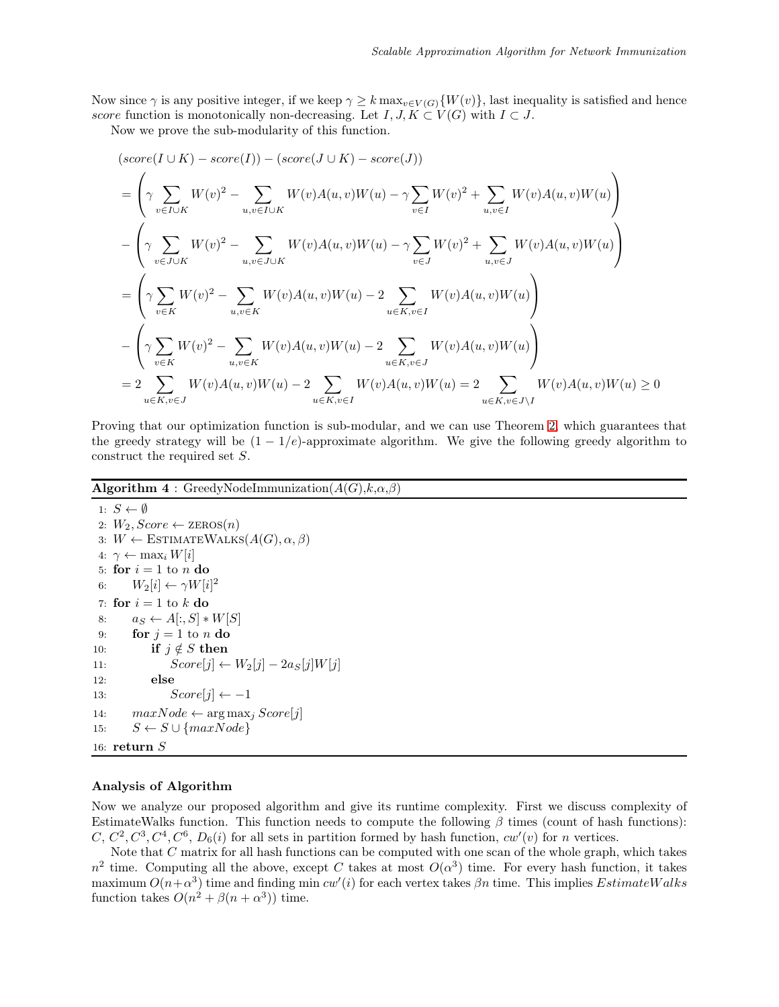Now since  $\gamma$  is any positive integer, if we keep  $\gamma \geq k \max_{v \in V(G)} \{W(v)\}\)$ , last inequality is satisfied and hence score function is monotonically non-decreasing. Let  $I, J, K \subset V(G)$  with  $I \subset J$ .

Now we prove the sub-modularity of this function.

$$
(score(I \cup K) - score(I)) - (score(J \cup K) - score(J))
$$
\n
$$
= \left(\gamma \sum_{v \in I \cup K} W(v)^2 - \sum_{u,v \in I \cup K} W(v)A(u,v)W(u) - \gamma \sum_{v \in I} W(v)^2 + \sum_{u,v \in I} W(v)A(u,v)W(u)\right)
$$
\n
$$
- \left(\gamma \sum_{v \in J \cup K} W(v)^2 - \sum_{u,v \in J \cup K} W(v)A(u,v)W(u) - \gamma \sum_{v \in J} W(v)^2 + \sum_{u,v \in J} W(v)A(u,v)W(u)\right)
$$
\n
$$
= \left(\gamma \sum_{v \in K} W(v)^2 - \sum_{u,v \in K} W(v)A(u,v)W(u) - 2 \sum_{u \in K, v \in I} W(v)A(u,v)W(u)\right)
$$
\n
$$
- \left(\gamma \sum_{v \in K} W(v)^2 - \sum_{u,v \in K} W(v)A(u,v)W(u) - 2 \sum_{u \in K, v \in J} W(v)A(u,v)W(u)\right)
$$
\n
$$
= 2 \sum_{u \in K, v \in J} W(v)A(u,v)W(u) - 2 \sum_{u \in K, v \in I} W(v)A(u,v)W(u) = 2 \sum_{u \in K, v \in J} W(v)A(u,v)W(u) \ge 0
$$

Proving that our optimization function is sub-modular, and we can use Theorem [2,](#page-2-0) which guarantees that the greedy strategy will be  $(1 - 1/e)$ -approximate algorithm. We give the following greedy algorithm to construct the required set S.

Algorithm  $4$ : GreedyNodeImmunization( $A(G)$ , $k, \alpha, \beta$ )

```
1: S \leftarrow \emptyset2: W_2, Score \leftarrow ZEROS(n)3: W \leftarrow \text{ESTIMATEWALKS}(A(G), \alpha, \beta)4: \gamma \leftarrow \max_i W[i]5: for i = 1 to n do
 6: W_2[i] \leftarrow \gamma W[i]^27: for i = 1 to k do
 8: a_S \leftarrow A[:,S] * W[S]9: for j = 1 to n do
10: if j \notin S then
11: Score[j] \leftarrow W_2[j] - 2a_S[j]W[j]12: else
13: Score[j] \leftarrow -114: maxNode \leftarrow \arg \max_j Score[j]15: S \leftarrow S \cup \{maxNode\}16: return S
```
#### Analysis of Algorithm

Now we analyze our proposed algorithm and give its runtime complexity. First we discuss complexity of EstimateWalks function. This function needs to compute the following  $\beta$  times (count of hash functions):  $C, C^2, C^3, C^4, C^6, D_6(i)$  for all sets in partition formed by hash function,  $cw'(v)$  for n vertices.

Note that C matrix for all hash functions can be computed with one scan of the whole graph, which takes  $n^2$  time. Computing all the above, except C takes at most  $O(\alpha^3)$  time. For every hash function, it takes maximum  $O(n+\alpha^3)$  time and finding min  $cw'(i)$  for each vertex takes  $\beta n$  time. This implies  $EstimateWalks$ function takes  $O(n^2 + \beta(n + \alpha^3))$  time.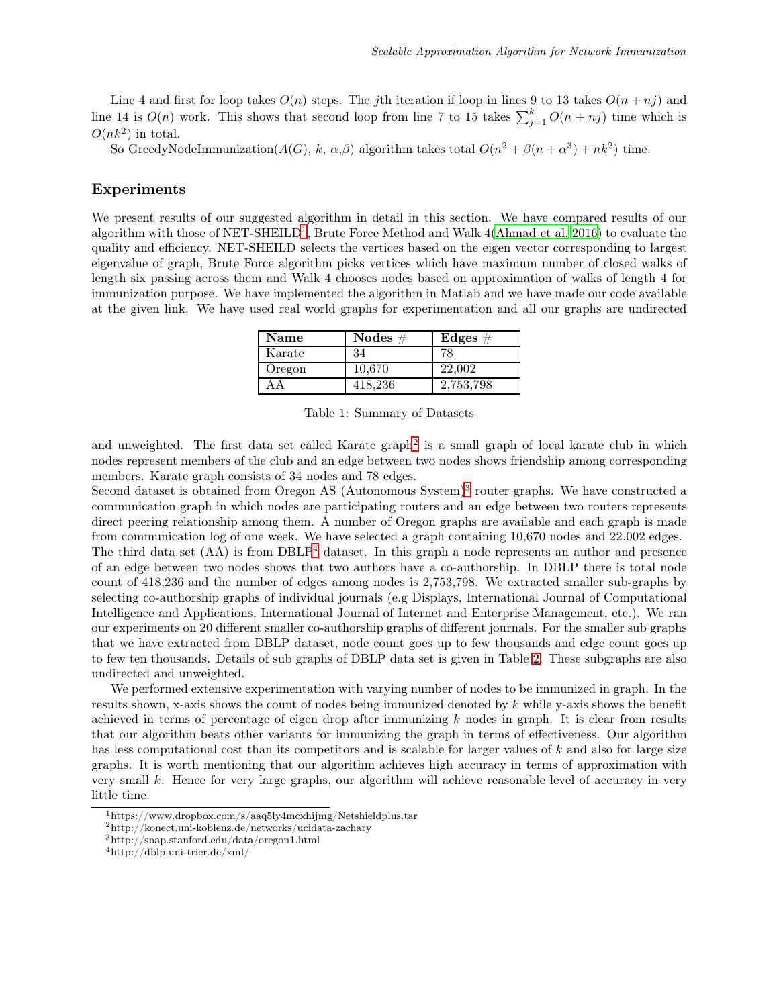Line 4 and first for loop takes  $O(n)$  steps. The jth iteration if loop in lines 9 to 13 takes  $O(n + nj)$  and line 14 is  $O(n)$  work. This shows that second loop from line 7 to 15 takes  $\sum_{j=1}^{k} O(n + nj)$  time which is  $O(nk^2)$  in total.

So GreedyNodeImmunization( $A(G)$ , k,  $\alpha$ , $\beta$ ) algorithm takes total  $O(n^2 + \beta(n + \alpha^3) + nk^2)$  time.

## Experiments

We present results of our suggested algorithm in detail in this section. We have compared results of our algorithm with those of NET-SHEILD<sup>[1](#page-7-0)</sup>, Brute Force Method and Walk 4[\(Ahmad et al. 2016\)](#page-10-3) to evaluate the quality and efficiency. NET-SHEILD selects the vertices based on the eigen vector corresponding to largest eigenvalue of graph, Brute Force algorithm picks vertices which have maximum number of closed walks of length six passing across them and Walk 4 chooses nodes based on approximation of walks of length 4 for immunization purpose. We have implemented the algorithm in Matlab and we have made our code available at the given link. We have used real world graphs for experimentation and all our graphs are undirected

| Name   | Nodes $#$ | $\bf{Edges}\;\#$ |
|--------|-----------|------------------|
| Karate | 34        | 78               |
| Oregon | 10.670    | 22,002           |
|        | 418.236   | 2,753,798        |

Table 1: Summary of Datasets

and unweighted. The first data set called Karate graph<sup>[2](#page-7-1)</sup> is a small graph of local karate club in which nodes represent members of the club and an edge between two nodes shows friendship among corresponding members. Karate graph consists of 34 nodes and 78 edges.

Second dataset is obtained from Oregon AS (Autonomous System)<sup>[3](#page-7-2)</sup> router graphs. We have constructed a communication graph in which nodes are participating routers and an edge between two routers represents direct peering relationship among them. A number of Oregon graphs are available and each graph is made from communication log of one week. We have selected a graph containing 10,670 nodes and 22,002 edges.

The third data set  $(AA)$  is from  $DBLP<sup>4</sup>$  $DBLP<sup>4</sup>$  $DBLP<sup>4</sup>$  dataset. In this graph a node represents an author and presence of an edge between two nodes shows that two authors have a co-authorship. In DBLP there is total node count of 418,236 and the number of edges among nodes is 2,753,798. We extracted smaller sub-graphs by selecting co-authorship graphs of individual journals (e.g Displays, International Journal of Computational Intelligence and Applications, International Journal of Internet and Enterprise Management, etc.). We ran our experiments on 20 different smaller co-authorship graphs of different journals. For the smaller sub graphs that we have extracted from DBLP dataset, node count goes up to few thousands and edge count goes up to few ten thousands. Details of sub graphs of DBLP data set is given in Table [2.](#page-8-0) These subgraphs are also undirected and unweighted.

We performed extensive experimentation with varying number of nodes to be immunized in graph. In the results shown, x-axis shows the count of nodes being immunized denoted by  $k$  while y-axis shows the benefit achieved in terms of percentage of eigen drop after immunizing  $k$  nodes in graph. It is clear from results that our algorithm beats other variants for immunizing the graph in terms of effectiveness. Our algorithm has less computational cost than its competitors and is scalable for larger values of k and also for large size graphs. It is worth mentioning that our algorithm achieves high accuracy in terms of approximation with very small k. Hence for very large graphs, our algorithm will achieve reasonable level of accuracy in very little time.

<sup>1</sup>https://www.dropbox.com/s/aaq5ly4mcxhijmg/Netshieldplus.tar

<span id="page-7-0"></span><sup>2</sup>http://konect.uni-koblenz.de/networks/ucidata-zachary

<span id="page-7-1"></span><sup>3</sup>http://snap.stanford.edu/data/oregon1.html

<span id="page-7-3"></span><span id="page-7-2"></span><sup>4</sup>http://dblp.uni-trier.de/xml/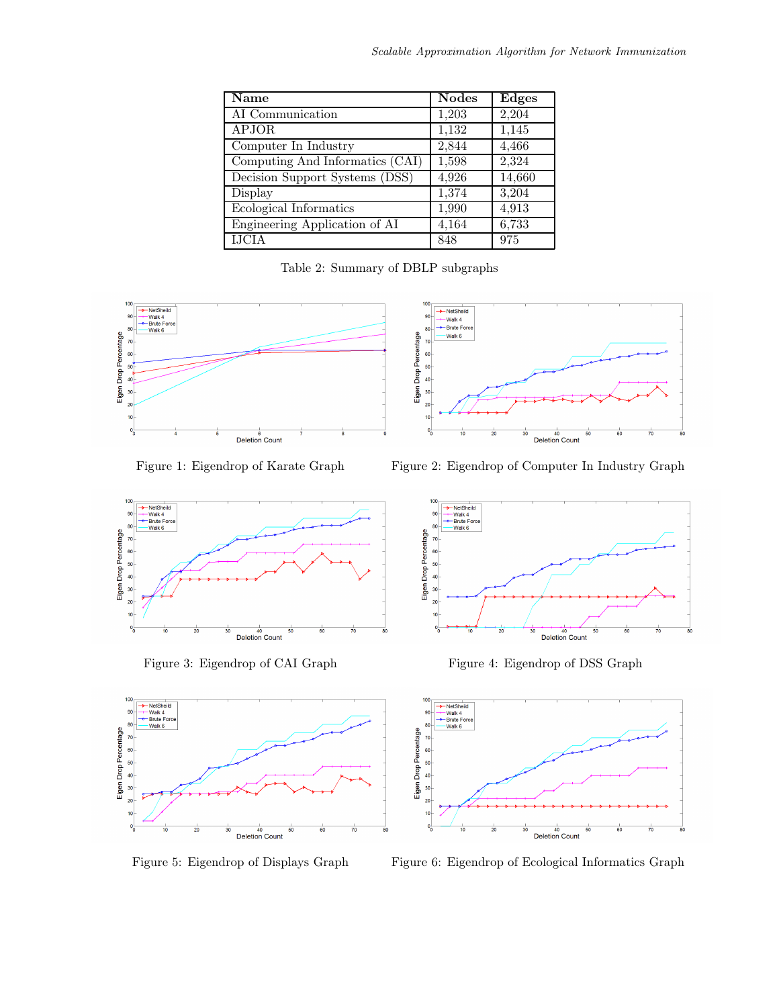<span id="page-8-0"></span>

| <b>Name</b>                     | <b>Nodes</b> | <b>Edges</b> |
|---------------------------------|--------------|--------------|
| AI Communication                | 1,203        | 2,204        |
| APJOR                           | 1,132        | 1,145        |
| Computer In Industry            | 2,844        | 4,466        |
| Computing And Informatics (CAI) | 1,598        | 2,324        |
| Decision Support Systems (DSS)  | 4,926        | 14,660       |
| Display                         | 1,374        | 3,204        |
| Ecological Informatics          | 1,990        | 4,913        |
| Engineering Application of AI   | 4,164        | 6,733        |
| <b>IJCIA</b>                    | 848          | 975          |

Table 2: Summary of DBLP subgraphs

 $-$  NetShe 90

80

70 60<br>50<br>40

 $\overline{30}$ 

 $\overline{20}$ 

 $10$ 

Eigen Drop Percentage

- Notonoma<br>- Walk 4<br>- Brute Force

Walk 6





40<br>Deletion Count





Figure 5: Eigendrop of Displays Graph Figure 6: Eigendrop of Ecological Informatics Graph



Figure 3: Eigendrop of CAI Graph Figure 4: Eigendrop of DSS Graph

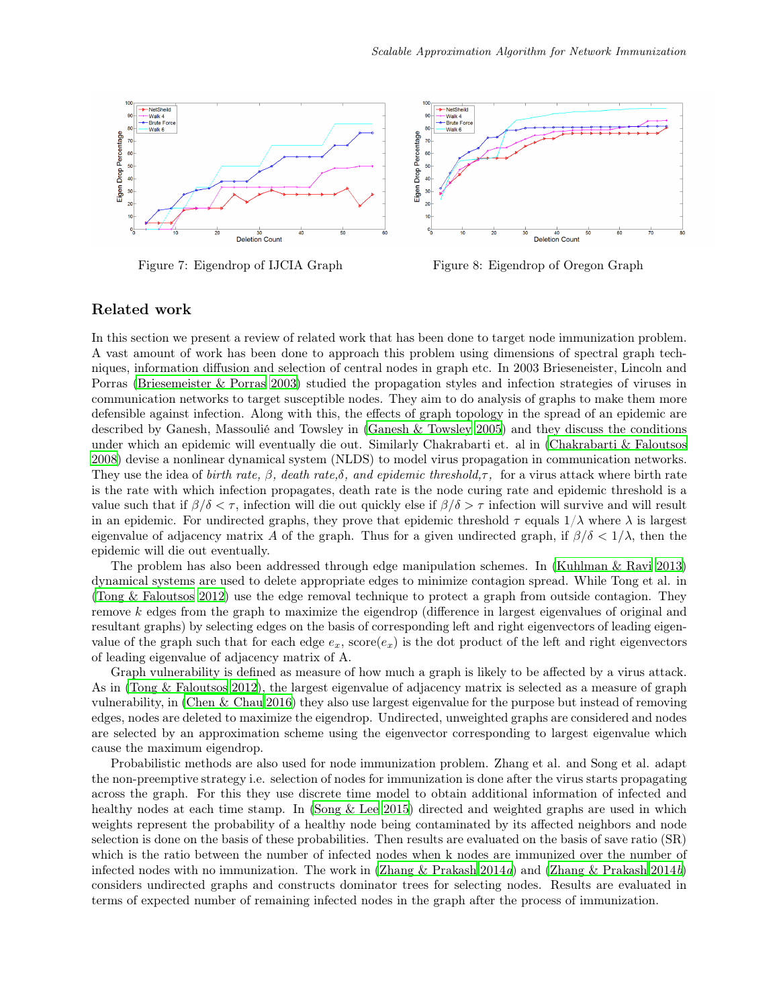

Figure 7: Eigendrop of IJCIA Graph Figure 8: Eigendrop of Oregon Graph

## Related work

In this section we present a review of related work that has been done to target node immunization problem. A vast amount of work has been done to approach this problem using dimensions of spectral graph techniques, information diffusion and selection of central nodes in graph etc. In 2003 Brieseneister, Lincoln and Porras [\(Briesemeister & Porras 2003\)](#page-10-4) studied the propagation styles and infection strategies of viruses in communication networks to target susceptible nodes. They aim to do analysis of graphs to make them more defensible against infection. Along with this, the effects of graph topology in the spread of an epidemic are described by Ganesh, Massoulié and Towsley in [\(Ganesh & Towsley 2005\)](#page-11-4) and they discuss the conditions under which an epidemic will eventually die out. Similarly Chakrabarti et. al in [\(Chakrabarti & Faloutsos](#page-10-2) [2008\)](#page-10-2) devise a nonlinear dynamical system (NLDS) to model virus propagation in communication networks. They use the idea of birth rate,  $\beta$ , death rate, $\delta$ , and epidemic threshold,  $\tau$ , for a virus attack where birth rate is the rate with which infection propagates, death rate is the node curing rate and epidemic threshold is a value such that if  $\beta/\delta < \tau$ , infection will die out quickly else if  $\beta/\delta > \tau$  infection will survive and will result in an epidemic. For undirected graphs, they prove that epidemic threshold  $\tau$  equals  $1/\lambda$  where  $\lambda$  is largest eigenvalue of adjacency matrix A of the graph. Thus for a given undirected graph, if  $\beta/\delta < 1/\lambda$ , then the epidemic will die out eventually.

The problem has also been addressed through edge manipulation schemes. In [\(Kuhlman & Ravi 2013](#page-11-5)) dynamical systems are used to delete appropriate edges to minimize contagion spread. While Tong et al. in [\(Tong & Faloutsos 2012\)](#page-11-6) use the edge removal technique to protect a graph from outside contagion. They remove k edges from the graph to maximize the eigendrop (difference in largest eigenvalues of original and resultant graphs) by selecting edges on the basis of corresponding left and right eigenvectors of leading eigenvalue of the graph such that for each edge  $e_x$ , score $(e_x)$  is the dot product of the left and right eigenvectors of leading eigenvalue of adjacency matrix of A.

Graph vulnerability is defined as measure of how much a graph is likely to be affected by a virus attack. As in [\(Tong & Faloutsos 2012](#page-11-6)), the largest eigenvalue of adjacency matrix is selected as a measure of graph vulnerability, in [\(Chen & Chau 2016](#page-10-0)) they also use largest eigenvalue for the purpose but instead of removing edges, nodes are deleted to maximize the eigendrop. Undirected, unweighted graphs are considered and nodes are selected by an approximation scheme using the eigenvector corresponding to largest eigenvalue which cause the maximum eigendrop.

Probabilistic methods are also used for node immunization problem. Zhang et al. and Song et al. adapt the non-preemptive strategy i.e. selection of nodes for immunization is done after the virus starts propagating across the graph. For this they use discrete time model to obtain additional information of infected and healthy nodes at each time stamp. In [\(Song & Lee 2015\)](#page-11-7) directed and weighted graphs are used in which weights represent the probability of a healthy node being contaminated by its affected neighbors and node selection is done on the basis of these probabilities. Then results are evaluated on the basis of save ratio (SR) which is the ratio between the number of infected nodes when k nodes are immunized over the number of infected nodes with no immunization. The work in [\(Zhang & Prakash 2014](#page-11-9)a) and (Zhang & Prakash 2014b) considers undirected graphs and constructs dominator trees for selecting nodes. Results are evaluated in terms of expected number of remaining infected nodes in the graph after the process of immunization.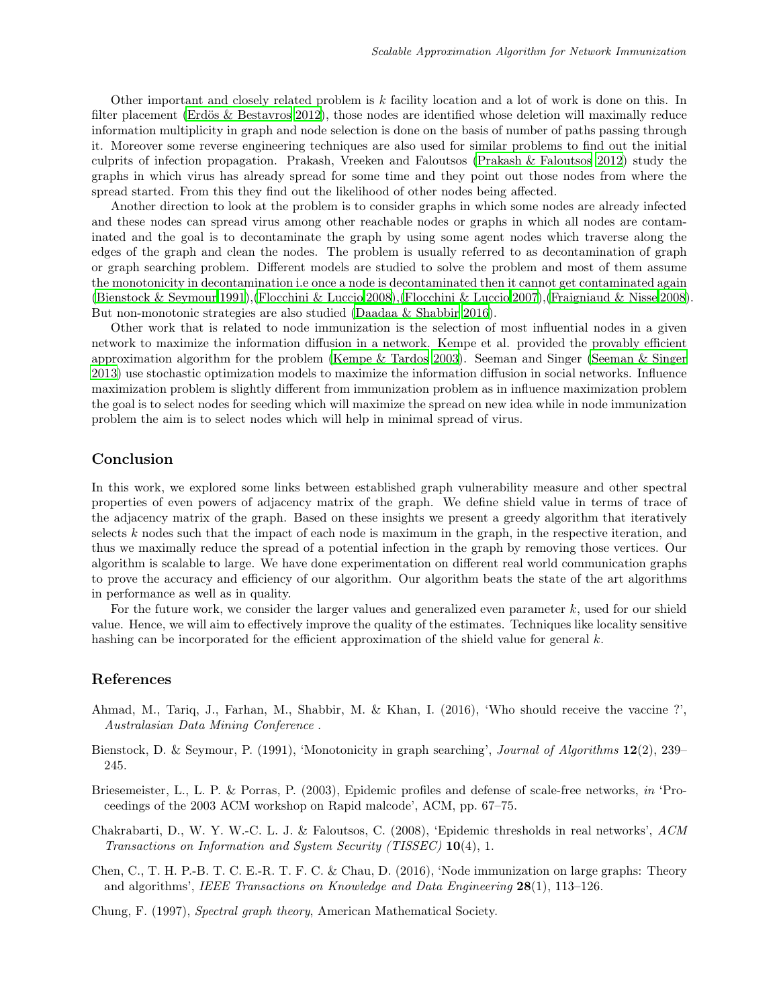Other important and closely related problem is k facility location and a lot of work is done on this. In filter placement [\(Erdös & Bestavros 2012](#page-11-10)), those nodes are identified whose deletion will maximally reduce information multiplicity in graph and node selection is done on the basis of number of paths passing through it. Moreover some reverse engineering techniques are also used for similar problems to find out the initial culprits of infection propagation. Prakash, Vreeken and Faloutsos [\(Prakash & Faloutsos 2012\)](#page-11-11) study the graphs in which virus has already spread for some time and they point out those nodes from where the spread started. From this they find out the likelihood of other nodes being affected.

Another direction to look at the problem is to consider graphs in which some nodes are already infected and these nodes can spread virus among other reachable nodes or graphs in which all nodes are contaminated and the goal is to decontaminate the graph by using some agent nodes which traverse along the edges of the graph and clean the nodes. The problem is usually referred to as decontamination of graph or graph searching problem. Different models are studied to solve the problem and most of them assume the monotonicity in decontamination i.e once a node is decontaminated then it cannot get contaminated again [\(Bienstock & Seymour 1991\)](#page-10-5),[\(Flocchini & Luccio 2008\)](#page-11-12),[\(Flocchini & Luccio 2007\)](#page-11-13),[\(Fraigniaud & Nisse 2008\)](#page-11-14). But non-monotonic strategies are also studied [\(Daadaa & Shabbir 2016](#page-11-15)).

Other work that is related to node immunization is the selection of most influential nodes in a given network to maximize the information diffusion in a network. Kempe et al. provided the provably efficient approximation algorithm for the problem [\(Kempe & Tardos 2003\)](#page-11-16). Seeman and Singer [\(Seeman & Singer](#page-11-17) [2013\)](#page-11-17) use stochastic optimization models to maximize the information diffusion in social networks. Influence maximization problem is slightly different from immunization problem as in influence maximization problem the goal is to select nodes for seeding which will maximize the spread on new idea while in node immunization problem the aim is to select nodes which will help in minimal spread of virus.

## Conclusion

In this work, we explored some links between established graph vulnerability measure and other spectral properties of even powers of adjacency matrix of the graph. We define shield value in terms of trace of the adjacency matrix of the graph. Based on these insights we present a greedy algorithm that iteratively selects  $k$  nodes such that the impact of each node is maximum in the graph, in the respective iteration, and thus we maximally reduce the spread of a potential infection in the graph by removing those vertices. Our algorithm is scalable to large. We have done experimentation on different real world communication graphs to prove the accuracy and efficiency of our algorithm. Our algorithm beats the state of the art algorithms in performance as well as in quality.

For the future work, we consider the larger values and generalized even parameter  $k$ , used for our shield value. Hence, we will aim to effectively improve the quality of the estimates. Techniques like locality sensitive hashing can be incorporated for the efficient approximation of the shield value for general k.

# References

- <span id="page-10-3"></span>Ahmad, M., Tariq, J., Farhan, M., Shabbir, M. & Khan, I. (2016), 'Who should receive the vaccine ?', Australasian Data Mining Conference .
- <span id="page-10-5"></span>Bienstock, D. & Seymour, P. (1991), 'Monotonicity in graph searching', Journal of Algorithms 12(2), 239– 245.
- <span id="page-10-4"></span>Briesemeister, L., L. P. & Porras, P. (2003), Epidemic profiles and defense of scale-free networks, in 'Proceedings of the 2003 ACM workshop on Rapid malcode', ACM, pp. 67–75.
- <span id="page-10-2"></span>Chakrabarti, D., W. Y. W.-C. L. J. & Faloutsos, C. (2008), 'Epidemic thresholds in real networks', ACM Transactions on Information and System Security (TISSEC) 10(4), 1.
- <span id="page-10-0"></span>Chen, C., T. H. P.-B. T. C. E.-R. T. F. C. & Chau, D. (2016), 'Node immunization on large graphs: Theory and algorithms', IEEE Transactions on Knowledge and Data Engineering 28(1), 113–126.

<span id="page-10-1"></span>Chung, F. (1997), Spectral graph theory, American Mathematical Society.